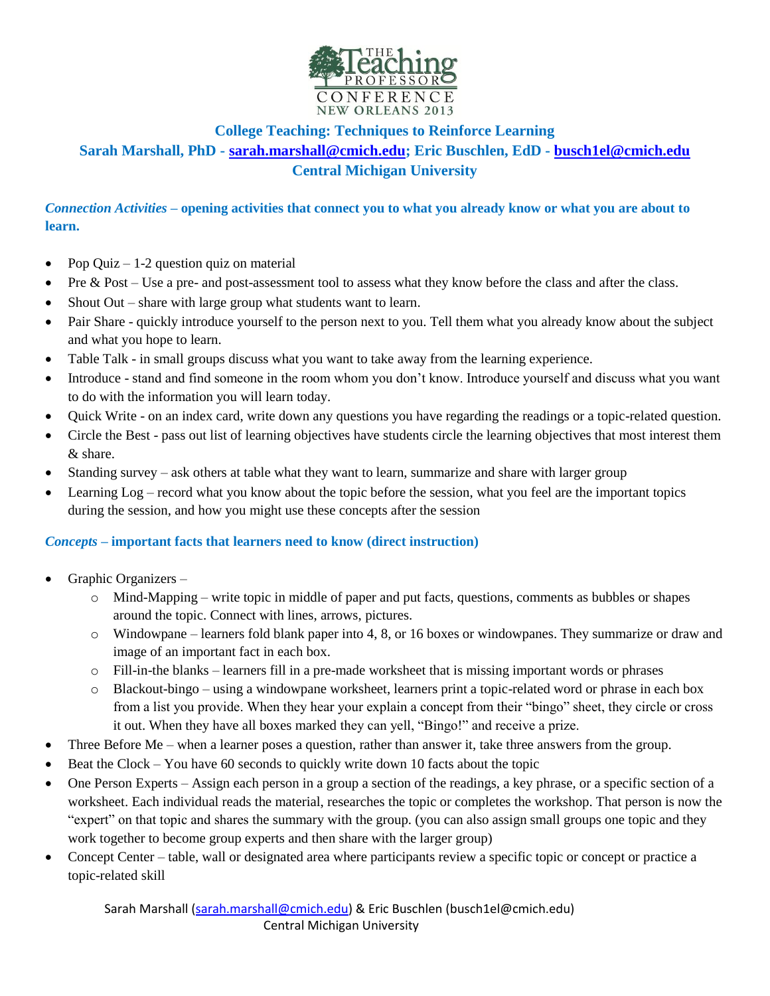

# **College Teaching: Techniques to Reinforce Learning Sarah Marshall, PhD - [sarah.marshall@cmich.edu;](mailto:sarah.marshall@cmich.edu) Eric Buschlen, EdD - [busch1el@cmich.edu](mailto:busch1el@cmich.edu) Central Michigan University**

*Connection Activities* **– opening activities that connect you to what you already know or what you are about to learn.**

- Pop Quiz 1-2 question quiz on material
- Pre & Post Use a pre- and post-assessment tool to assess what they know before the class and after the class.
- Shout Out share with large group what students want to learn.
- Pair Share quickly introduce yourself to the person next to you. Tell them what you already know about the subject and what you hope to learn.
- Table Talk in small groups discuss what you want to take away from the learning experience.
- Introduce stand and find someone in the room whom you don't know. Introduce yourself and discuss what you want to do with the information you will learn today.
- Quick Write on an index card, write down any questions you have regarding the readings or a topic-related question.
- Circle the Best pass out list of learning objectives have students circle the learning objectives that most interest them & share.
- Standing survey ask others at table what they want to learn, summarize and share with larger group
- Learning Log record what you know about the topic before the session, what you feel are the important topics during the session, and how you might use these concepts after the session

#### *Concepts –* **important facts that learners need to know (direct instruction)**

- Graphic Organizers
	- o Mind-Mapping write topic in middle of paper and put facts, questions, comments as bubbles or shapes around the topic. Connect with lines, arrows, pictures.
	- o Windowpane learners fold blank paper into 4, 8, or 16 boxes or windowpanes. They summarize or draw and image of an important fact in each box.
	- o Fill-in-the blanks learners fill in a pre-made worksheet that is missing important words or phrases
	- o Blackout-bingo using a windowpane worksheet, learners print a topic-related word or phrase in each box from a list you provide. When they hear your explain a concept from their "bingo" sheet, they circle or cross it out. When they have all boxes marked they can yell, "Bingo!" and receive a prize.
- Three Before Me when a learner poses a question, rather than answer it, take three answers from the group.
- Beat the Clock You have 60 seconds to quickly write down 10 facts about the topic
- One Person Experts Assign each person in a group a section of the readings, a key phrase, or a specific section of a worksheet. Each individual reads the material, researches the topic or completes the workshop. That person is now the "expert" on that topic and shares the summary with the group. (you can also assign small groups one topic and they work together to become group experts and then share with the larger group)
- Concept Center table, wall or designated area where participants review a specific topic or concept or practice a topic-related skill

Sarah Marshall (sarah.marshall@cmich.edu) & Eric Buschlen (busch1el@cmich.edu) Central Michigan University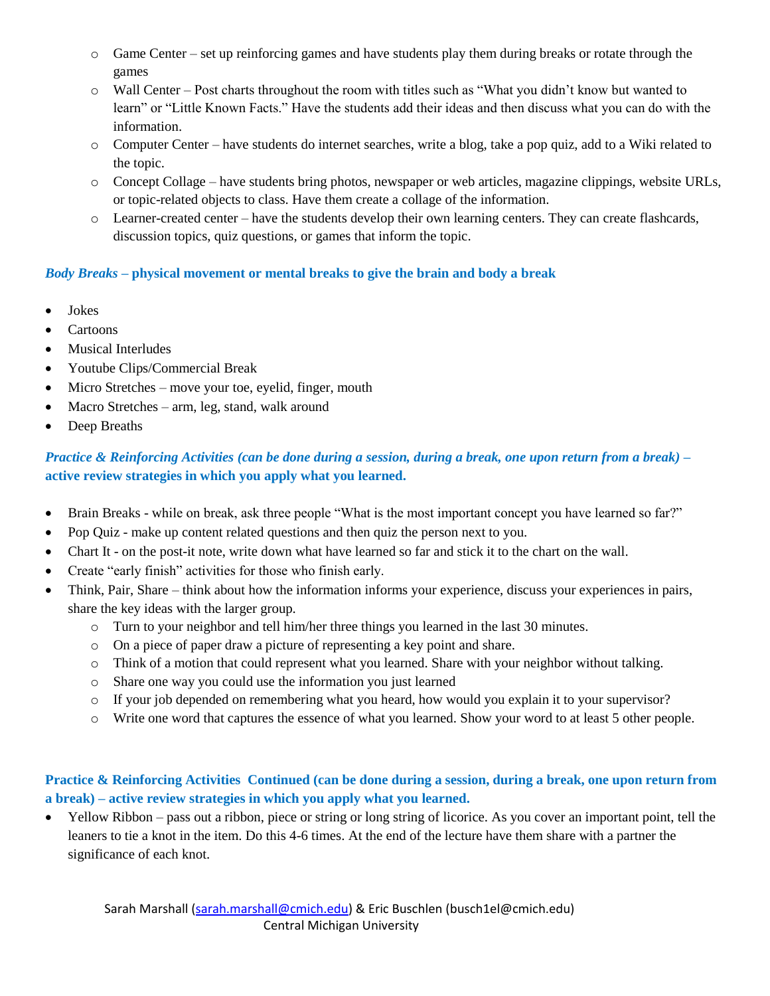- $\circ$  Game Center set up reinforcing games and have students play them during breaks or rotate through the games
- o Wall Center Post charts throughout the room with titles such as "What you didn't know but wanted to learn" or "Little Known Facts." Have the students add their ideas and then discuss what you can do with the information.
- o Computer Center have students do internet searches, write a blog, take a pop quiz, add to a Wiki related to the topic.
- o Concept Collage have students bring photos, newspaper or web articles, magazine clippings, website URLs, or topic-related objects to class. Have them create a collage of the information.
- $\circ$  Learner-created center have the students develop their own learning centers. They can create flashcards, discussion topics, quiz questions, or games that inform the topic.

### *Body Breaks* **– physical movement or mental breaks to give the brain and body a break**

- Jokes
- Cartoons
- Musical Interludes
- Youtube Clips/Commercial Break
- Micro Stretches move your toe, eyelid, finger, mouth
- Macro Stretches arm, leg, stand, walk around
- Deep Breaths

## *Practice & Reinforcing Activities (can be done during a session, during a break, one upon return from a break)* **– active review strategies in which you apply what you learned.**

- Brain Breaks while on break, ask three people "What is the most important concept you have learned so far?"
- Pop Quiz make up content related questions and then quiz the person next to you.
- Chart It on the post-it note, write down what have learned so far and stick it to the chart on the wall.
- Create "early finish" activities for those who finish early.
- Think, Pair, Share think about how the information informs your experience, discuss your experiences in pairs, share the key ideas with the larger group.
	- o Turn to your neighbor and tell him/her three things you learned in the last 30 minutes.
	- o On a piece of paper draw a picture of representing a key point and share.
	- o Think of a motion that could represent what you learned. Share with your neighbor without talking.
	- o Share one way you could use the information you just learned
	- o If your job depended on remembering what you heard, how would you explain it to your supervisor?
	- o Write one word that captures the essence of what you learned. Show your word to at least 5 other people.

### **Practice & Reinforcing Activities Continued (can be done during a session, during a break, one upon return from a break) – active review strategies in which you apply what you learned.**

 Yellow Ribbon – pass out a ribbon, piece or string or long string of licorice. As you cover an important point, tell the leaners to tie a knot in the item. Do this 4-6 times. At the end of the lecture have them share with a partner the significance of each knot.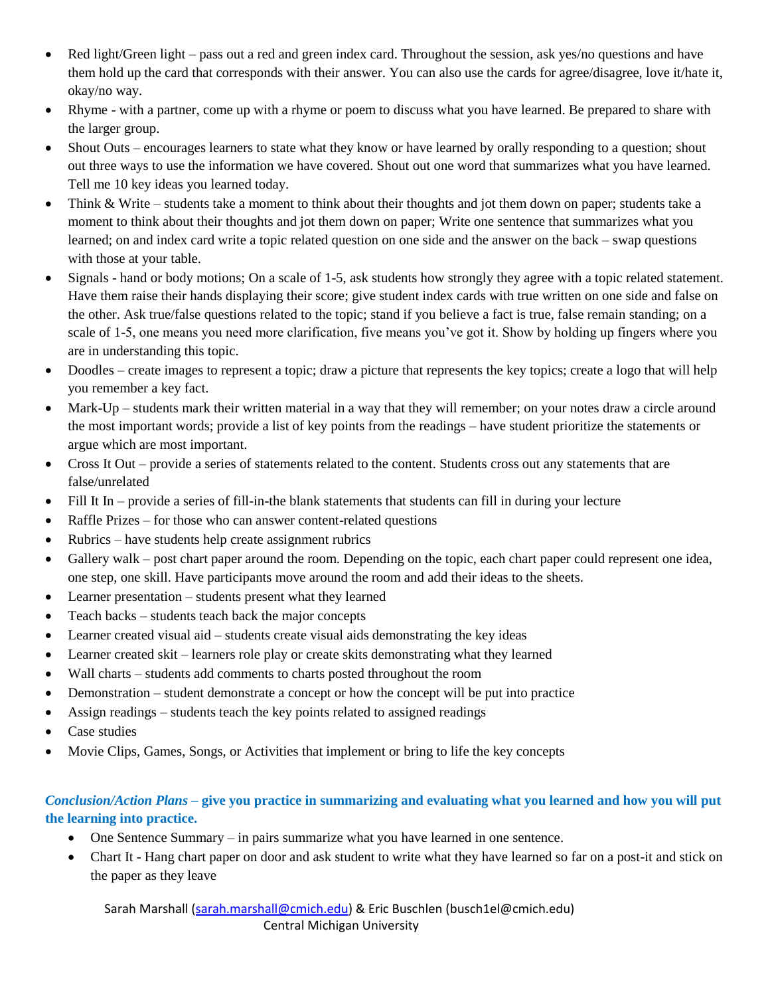- Red light/Green light pass out a red and green index card. Throughout the session, ask yes/no questions and have them hold up the card that corresponds with their answer. You can also use the cards for agree/disagree, love it/hate it, okay/no way.
- Rhyme with a partner, come up with a rhyme or poem to discuss what you have learned. Be prepared to share with the larger group.
- Shout Outs encourages learners to state what they know or have learned by orally responding to a question; shout out three ways to use the information we have covered. Shout out one word that summarizes what you have learned. Tell me 10 key ideas you learned today.
- Think & Write students take a moment to think about their thoughts and jot them down on paper; students take a moment to think about their thoughts and jot them down on paper; Write one sentence that summarizes what you learned; on and index card write a topic related question on one side and the answer on the back – swap questions with those at your table.
- Signals hand or body motions; On a scale of 1-5, ask students how strongly they agree with a topic related statement. Have them raise their hands displaying their score; give student index cards with true written on one side and false on the other. Ask true/false questions related to the topic; stand if you believe a fact is true, false remain standing; on a scale of 1-5, one means you need more clarification, five means you've got it. Show by holding up fingers where you are in understanding this topic.
- Doodles create images to represent a topic; draw a picture that represents the key topics; create a logo that will help you remember a key fact.
- Mark-Up students mark their written material in a way that they will remember; on your notes draw a circle around the most important words; provide a list of key points from the readings – have student prioritize the statements or argue which are most important.
- Cross It Out provide a series of statements related to the content. Students cross out any statements that are false/unrelated
- Fill It In provide a series of fill-in-the blank statements that students can fill in during your lecture
- Raffle Prizes for those who can answer content-related questions
- Rubrics have students help create assignment rubrics
- Gallery walk post chart paper around the room. Depending on the topic, each chart paper could represent one idea, one step, one skill. Have participants move around the room and add their ideas to the sheets.
- Learner presentation students present what they learned
- Teach backs students teach back the major concepts
- Learner created visual aid students create visual aids demonstrating the key ideas
- Learner created skit learners role play or create skits demonstrating what they learned
- Wall charts students add comments to charts posted throughout the room
- Demonstration student demonstrate a concept or how the concept will be put into practice
- Assign readings students teach the key points related to assigned readings
- Case studies
- Movie Clips, Games, Songs, or Activities that implement or bring to life the key concepts

### *Conclusion/Action Plans –* **give you practice in summarizing and evaluating what you learned and how you will put the learning into practice.**

- One Sentence Summary in pairs summarize what you have learned in one sentence.
- Chart It Hang chart paper on door and ask student to write what they have learned so far on a post-it and stick on the paper as they leave

Sarah Marshall (sarah.marshall@cmich.edu) & Eric Buschlen (busch1el@cmich.edu) Central Michigan University